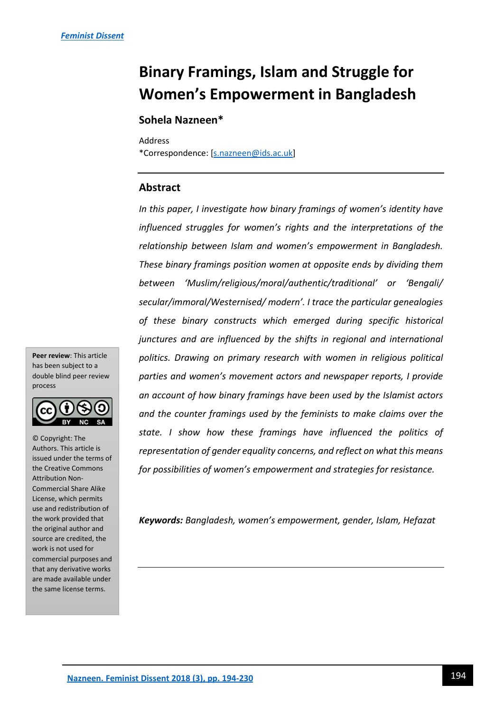# **Binary Framings, Islam and Struggle for Women's Empowerment in Bangladesh**

# **Sohela Nazneen\***

Address

\*Correspondence: [\[s.nazneen@ids.ac.uk\]](mailto:s.nazneen@ids.ac.uk)

# **Abstract**

*In this paper, I investigate how binary framings of women's identity have influenced struggles for women's rights and the interpretations of the relationship between Islam and women's empowerment in Bangladesh. These binary framings position women at opposite ends by dividing them between 'Muslim/religious/moral/authentic/traditional' or 'Bengali/ secular/immoral/Westernised/ modern'. I trace the particular genealogies of these binary constructs which emerged during specific historical junctures and are influenced by the shifts in regional and international politics. Drawing on primary research with women in religious political parties and women's movement actors and newspaper reports, I provide an account of how binary framings have been used by the Islamist actors and the counter framings used by the feminists to make claims over the state. I show how these framings have influenced the politics of representation of gender equality concerns, and reflect on what this means for possibilities of women's empowerment and strategies for resistance.* 

*Keywords: Bangladesh, women's empowerment, gender, Islam, Hefazat* 

**Peer review**: This article has been subject to a double blind peer review process



**ntroduction** are made available under © Copyright: The Authors. This article is issued under the terms of the Creative Commons Attribution Non-Commercial Share Alike License, which permits use and redistribution of the work provided that the original author and source are credited, the work is not used for commercial purposes and that any derivative works the same license terms.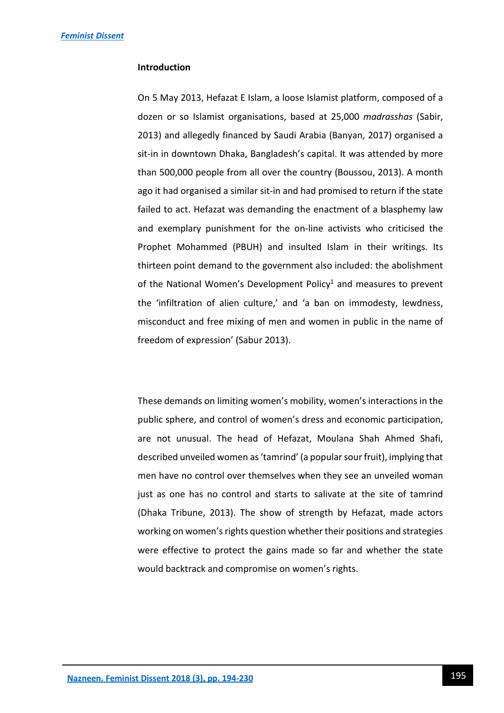#### **Introduction**

On 5 May 2013, Hefazat E Islam, a loose Islamist platform, composed of a dozen or so Islamist organisations, based at 25,000 *madrasshas* (Sabir, 2013) and allegedly financed by Saudi Arabia (Banyan, 2017) organised a sit-in in downtown Dhaka, Bangladesh's capital. It was attended by more than 500,000 people from all over the country (Boussou, 2013). A month ago it had organised a similar sit-in and had promised to return if the state failed to act. Hefazat was demanding the enactment of a blasphemy law and exemplary punishment for the on-line activists who criticised the Prophet Mohammed (PBUH) and insulted Islam in their writings. Its thirteen point demand to the government also included: the abolishment of the National Women's Development Policy<sup>1</sup> and measures to prevent the 'infiltration of alien culture,' and 'a ban on immodesty, lewdness, misconduct and free mixing of men and women in public in the name of freedom of expression' (Sabur 2013).

These demands on limiting women's mobility, women's interactions in the public sphere, and control of women's dress and economic participation, are not unusual. The head of Hefazat, Moulana Shah Ahmed Shafi, described unveiled women as 'tamrind' (a popular sour fruit), implying that men have no control over themselves when they see an unveiled woman just as one has no control and starts to salivate at the site of tamrind (Dhaka Tribune, 2013). The show of strength by Hefazat, made actors working on women's rights question whether their positions and strategies were effective to protect the gains made so far and whether the state would backtrack and compromise on women's rights.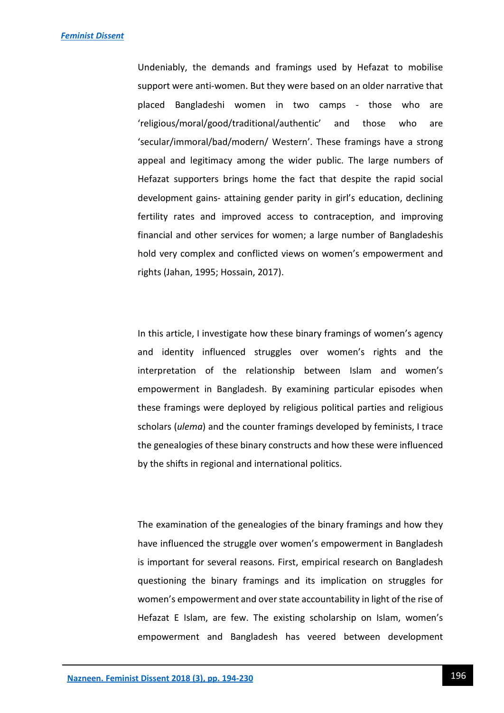Undeniably, the demands and framings used by Hefazat to mobilise support were anti-women. But they were based on an older narrative that placed Bangladeshi women in two camps - those who are 'religious/moral/good/traditional/authentic' and those who are 'secular/immoral/bad/modern/ Western'. These framings have a strong appeal and legitimacy among the wider public. The large numbers of Hefazat supporters brings home the fact that despite the rapid social development gains- attaining gender parity in girl's education, declining fertility rates and improved access to contraception, and improving financial and other services for women; a large number of Bangladeshis hold very complex and conflicted views on women's empowerment and rights (Jahan, 1995; Hossain, 2017).

In this article, I investigate how these binary framings of women's agency and identity influenced struggles over women's rights and the interpretation of the relationship between Islam and women's empowerment in Bangladesh. By examining particular episodes when these framings were deployed by religious political parties and religious scholars (*ulema*) and the counter framings developed by feminists, I trace the genealogies of these binary constructs and how these were influenced by the shifts in regional and international politics.

The examination of the genealogies of the binary framings and how they have influenced the struggle over women's empowerment in Bangladesh is important for several reasons. First, empirical research on Bangladesh questioning the binary framings and its implication on struggles for women's empowerment and over state accountability in light of the rise of Hefazat E Islam, are few. The existing scholarship on Islam, women's empowerment and Bangladesh has veered between development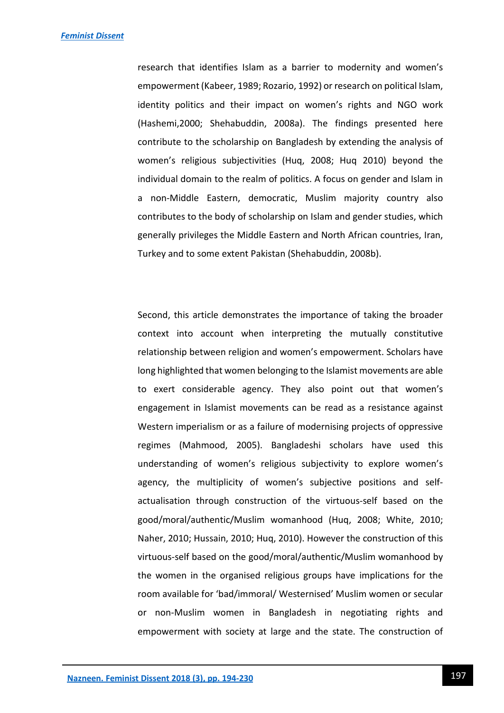research that identifies Islam as a barrier to modernity and women's empowerment (Kabeer, 1989; Rozario, 1992) or research on political Islam, identity politics and their impact on women's rights and NGO work (Hashemi,2000; Shehabuddin, 2008a). The findings presented here contribute to the scholarship on Bangladesh by extending the analysis of women's religious subjectivities (Huq, 2008; Huq 2010) beyond the individual domain to the realm of politics. A focus on gender and Islam in a non-Middle Eastern, democratic, Muslim majority country also contributes to the body of scholarship on Islam and gender studies, which generally privileges the Middle Eastern and North African countries, Iran, Turkey and to some extent Pakistan (Shehabuddin, 2008b).

Second, this article demonstrates the importance of taking the broader context into account when interpreting the mutually constitutive relationship between religion and women's empowerment. Scholars have long highlighted that women belonging to the Islamist movements are able to exert considerable agency. They also point out that women's engagement in Islamist movements can be read as a resistance against Western imperialism or as a failure of modernising projects of oppressive regimes (Mahmood, 2005). Bangladeshi scholars have used this understanding of women's religious subjectivity to explore women's agency, the multiplicity of women's subjective positions and selfactualisation through construction of the virtuous-self based on the good/moral/authentic/Muslim womanhood (Huq, 2008; White, 2010; Naher, 2010; Hussain, 2010; Huq, 2010). However the construction of this virtuous-self based on the good/moral/authentic/Muslim womanhood by the women in the organised religious groups have implications for the room available for 'bad/immoral/ Westernised' Muslim women or secular or non-Muslim women in Bangladesh in negotiating rights and empowerment with society at large and the state. The construction of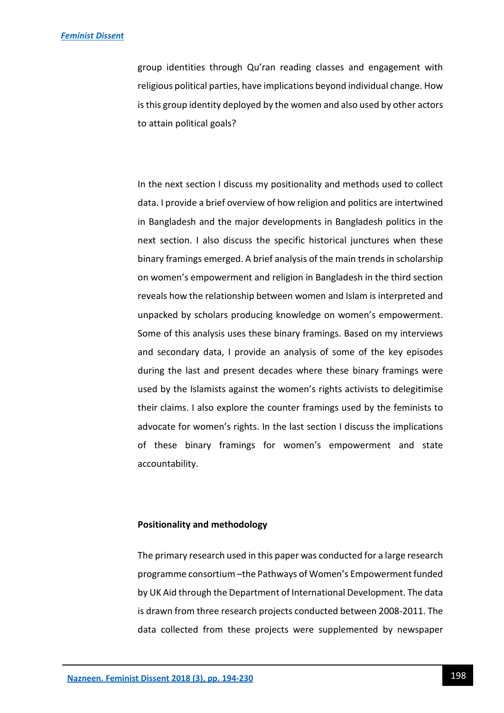group identities through Qu'ran reading classes and engagement with religious political parties, have implications beyond individual change. How is this group identity deployed by the women and also used by other actors to attain political goals?

In the next section I discuss my positionality and methods used to collect data. I provide a brief overview of how religion and politics are intertwined in Bangladesh and the major developments in Bangladesh politics in the next section. I also discuss the specific historical junctures when these binary framings emerged. A brief analysis of the main trends in scholarship on women's empowerment and religion in Bangladesh in the third section reveals how the relationship between women and Islam is interpreted and unpacked by scholars producing knowledge on women's empowerment. Some of this analysis uses these binary framings. Based on my interviews and secondary data, I provide an analysis of some of the key episodes during the last and present decades where these binary framings were used by the Islamists against the women's rights activists to delegitimise their claims. I also explore the counter framings used by the feminists to advocate for women's rights. In the last section I discuss the implications of these binary framings for women's empowerment and state accountability.

# **Positionality and methodology**

The primary research used in this paper was conducted for a large research programme consortium –the Pathways of Women's Empowerment funded by UK Aid through the Department of International Development. The data is drawn from three research projects conducted between 2008-2011. The data collected from these projects were supplemented by newspaper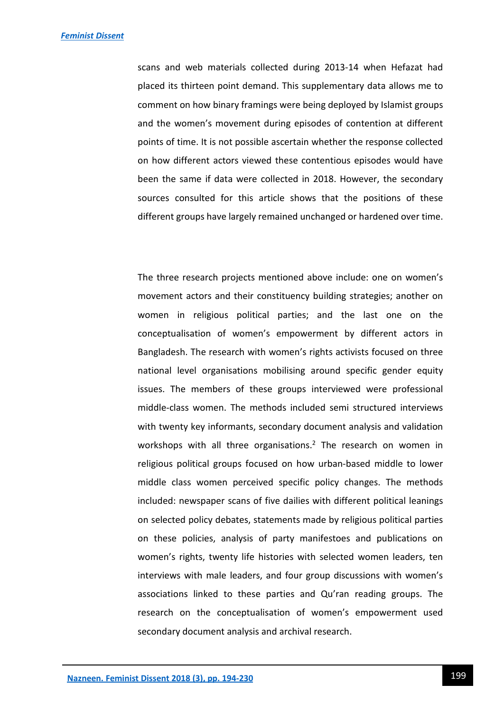scans and web materials collected during 2013-14 when Hefazat had placed its thirteen point demand. This supplementary data allows me to comment on how binary framings were being deployed by Islamist groups and the women's movement during episodes of contention at different points of time. It is not possible ascertain whether the response collected on how different actors viewed these contentious episodes would have been the same if data were collected in 2018. However, the secondary sources consulted for this article shows that the positions of these different groups have largely remained unchanged or hardened over time.

The three research projects mentioned above include: one on women's movement actors and their constituency building strategies; another on women in religious political parties; and the last one on the conceptualisation of women's empowerment by different actors in Bangladesh. The research with women's rights activists focused on three national level organisations mobilising around specific gender equity issues. The members of these groups interviewed were professional middle-class women. The methods included semi structured interviews with twenty key informants, secondary document analysis and validation workshops with all three organisations.<sup>2</sup> The research on women in religious political groups focused on how urban-based middle to lower middle class women perceived specific policy changes. The methods included: newspaper scans of five dailies with different political leanings on selected policy debates, statements made by religious political parties on these policies, analysis of party manifestoes and publications on women's rights, twenty life histories with selected women leaders, ten interviews with male leaders, and four group discussions with women's associations linked to these parties and Qu'ran reading groups. The research on the conceptualisation of women's empowerment used secondary document analysis and archival research.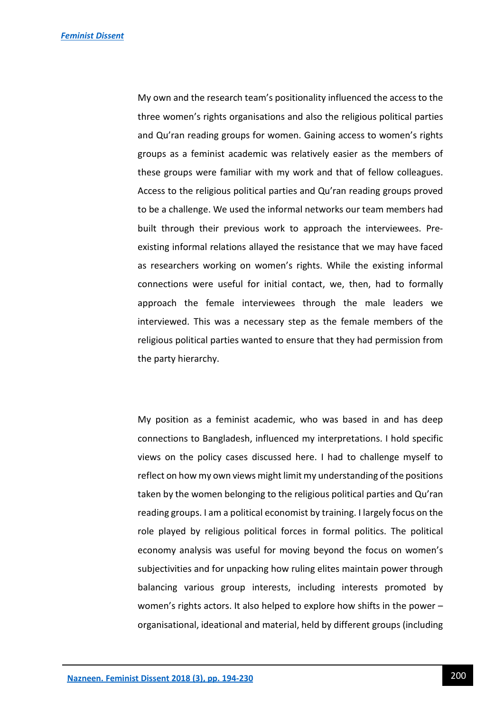My own and the research team's positionality influenced the access to the three women's rights organisations and also the religious political parties and Qu'ran reading groups for women. Gaining access to women's rights groups as a feminist academic was relatively easier as the members of these groups were familiar with my work and that of fellow colleagues. Access to the religious political parties and Qu'ran reading groups proved to be a challenge. We used the informal networks our team members had built through their previous work to approach the interviewees. Preexisting informal relations allayed the resistance that we may have faced as researchers working on women's rights. While the existing informal connections were useful for initial contact, we, then, had to formally approach the female interviewees through the male leaders we interviewed. This was a necessary step as the female members of the religious political parties wanted to ensure that they had permission from the party hierarchy.

My position as a feminist academic, who was based in and has deep connections to Bangladesh, influenced my interpretations. I hold specific views on the policy cases discussed here. I had to challenge myself to reflect on how my own views might limit my understanding of the positions taken by the women belonging to the religious political parties and Qu'ran reading groups. I am a political economist by training. I largely focus on the role played by religious political forces in formal politics. The political economy analysis was useful for moving beyond the focus on women's subjectivities and for unpacking how ruling elites maintain power through balancing various group interests, including interests promoted by women's rights actors. It also helped to explore how shifts in the power – organisational, ideational and material, held by different groups (including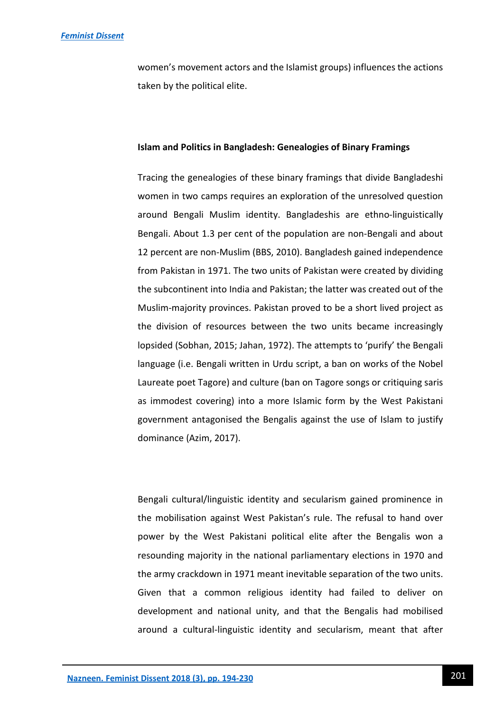women's movement actors and the Islamist groups) influences the actions taken by the political elite.

#### **Islam and Politics in Bangladesh: Genealogies of Binary Framings**

Tracing the genealogies of these binary framings that divide Bangladeshi women in two camps requires an exploration of the unresolved question around Bengali Muslim identity. Bangladeshis are ethno-linguistically Bengali. About 1.3 per cent of the population are non-Bengali and about 12 percent are non-Muslim (BBS, 2010). Bangladesh gained independence from Pakistan in 1971. The two units of Pakistan were created by dividing the subcontinent into India and Pakistan; the latter was created out of the Muslim-majority provinces. Pakistan proved to be a short lived project as the division of resources between the two units became increasingly lopsided (Sobhan, 2015; Jahan, 1972). The attempts to 'purify' the Bengali language (i.e. Bengali written in Urdu script, a ban on works of the Nobel Laureate poet Tagore) and culture (ban on Tagore songs or critiquing saris as immodest covering) into a more Islamic form by the West Pakistani government antagonised the Bengalis against the use of Islam to justify dominance (Azim, 2017).

Bengali cultural/linguistic identity and secularism gained prominence in the mobilisation against West Pakistan's rule. The refusal to hand over power by the West Pakistani political elite after the Bengalis won a resounding majority in the national parliamentary elections in 1970 and the army crackdown in 1971 meant inevitable separation of the two units. Given that a common religious identity had failed to deliver on development and national unity, and that the Bengalis had mobilised around a cultural-linguistic identity and secularism, meant that after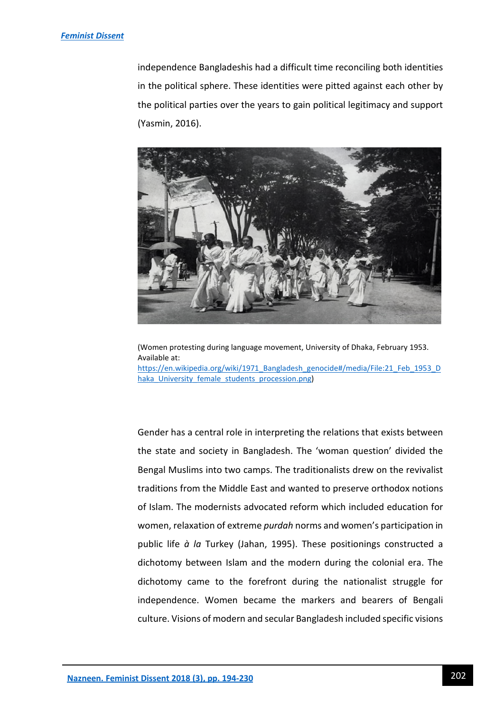#### *[Feminist Dissent](https://journals.warwick.ac.uk/index.php/feministdissent/index)*

independence Bangladeshis had a difficult time reconciling both identities in the political sphere. These identities were pitted against each other by the political parties over the years to gain political legitimacy and support (Yasmin, 2016).



(Women protesting during language movement, University of Dhaka, February 1953. Available at: [https://en.wikipedia.org/wiki/1971\\_Bangladesh\\_genocide#/media/File:21\\_Feb\\_1953\\_D](https://en.wikipedia.org/wiki/1971_Bangladesh_genocide#/media/File:21_Feb_1953_Dhaka_University_female_students_procession.png) haka University female students procession.png)

Gender has a central role in interpreting the relations that exists between the state and society in Bangladesh. The 'woman question' divided the Bengal Muslims into two camps. The traditionalists drew on the revivalist traditions from the Middle East and wanted to preserve orthodox notions of Islam. The modernists advocated reform which included education for women, relaxation of extreme *purdah* norms and women's participation in public life *à la* Turkey (Jahan, 1995). These positionings constructed a dichotomy between Islam and the modern during the colonial era. The dichotomy came to the forefront during the nationalist struggle for independence. Women became the markers and bearers of Bengali culture. Visions of modern and secular Bangladesh included specific visions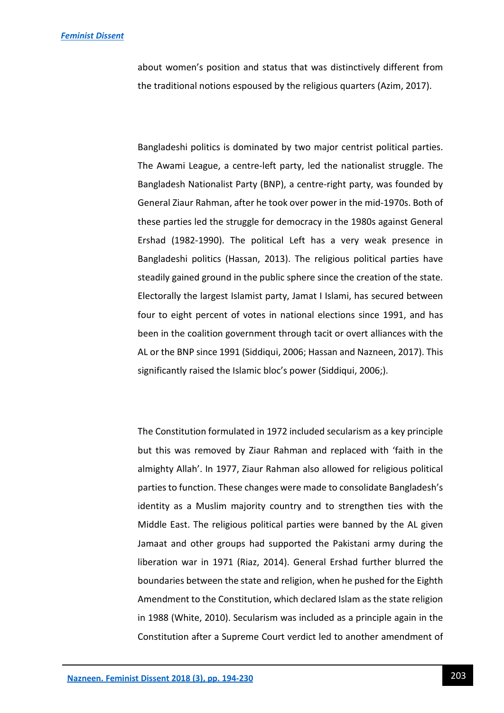about women's position and status that was distinctively different from the traditional notions espoused by the religious quarters (Azim, 2017).

Bangladeshi politics is dominated by two major centrist political parties. The Awami League, a centre-left party, led the nationalist struggle. The Bangladesh Nationalist Party (BNP), a centre-right party, was founded by General Ziaur Rahman, after he took over power in the mid-1970s. Both of these parties led the struggle for democracy in the 1980s against General Ershad (1982-1990). The political Left has a very weak presence in Bangladeshi politics (Hassan, 2013). The religious political parties have steadily gained ground in the public sphere since the creation of the state. Electorally the largest Islamist party, Jamat I Islami, has secured between four to eight percent of votes in national elections since 1991, and has been in the coalition government through tacit or overt alliances with the AL or the BNP since 1991 (Siddiqui, 2006; Hassan and Nazneen, 2017). This significantly raised the Islamic bloc's power (Siddiqui, 2006;).

The Constitution formulated in 1972 included secularism as a key principle but this was removed by Ziaur Rahman and replaced with 'faith in the almighty Allah'. In 1977, Ziaur Rahman also allowed for religious political parties to function. These changes were made to consolidate Bangladesh's identity as a Muslim majority country and to strengthen ties with the Middle East. The religious political parties were banned by the AL given Jamaat and other groups had supported the Pakistani army during the liberation war in 1971 (Riaz, 2014). General Ershad further blurred the boundaries between the state and religion, when he pushed for the Eighth Amendment to the Constitution, which declared Islam as the state religion in 1988 (White, 2010). Secularism was included as a principle again in the Constitution after a Supreme Court verdict led to another amendment of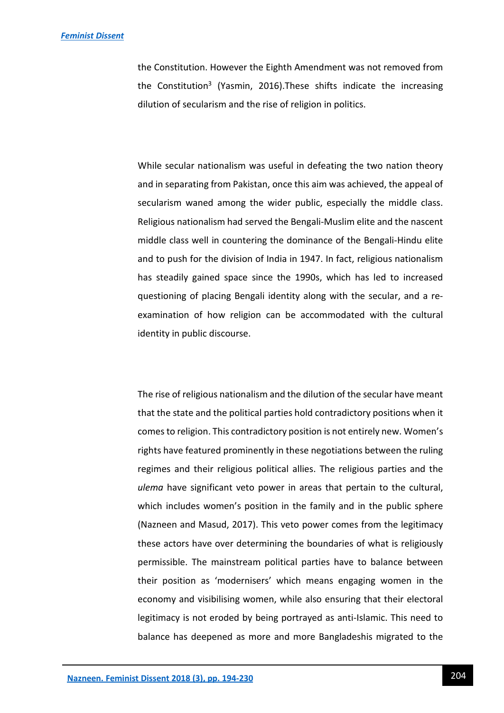the Constitution. However the Eighth Amendment was not removed from the Constitution<sup>3</sup> (Yasmin, 2016). These shifts indicate the increasing dilution of secularism and the rise of religion in politics.

While secular nationalism was useful in defeating the two nation theory and in separating from Pakistan, once this aim was achieved, the appeal of secularism waned among the wider public, especially the middle class. Religious nationalism had served the Bengali-Muslim elite and the nascent middle class well in countering the dominance of the Bengali-Hindu elite and to push for the division of India in 1947. In fact, religious nationalism has steadily gained space since the 1990s, which has led to increased questioning of placing Bengali identity along with the secular, and a reexamination of how religion can be accommodated with the cultural identity in public discourse.

The rise of religious nationalism and the dilution of the secular have meant that the state and the political parties hold contradictory positions when it comes to religion. This contradictory position is not entirely new. Women's rights have featured prominently in these negotiations between the ruling regimes and their religious political allies. The religious parties and the *ulema* have significant veto power in areas that pertain to the cultural, which includes women's position in the family and in the public sphere (Nazneen and Masud, 2017). This veto power comes from the legitimacy these actors have over determining the boundaries of what is religiously permissible. The mainstream political parties have to balance between their position as 'modernisers' which means engaging women in the economy and visibilising women, while also ensuring that their electoral legitimacy is not eroded by being portrayed as anti-Islamic. This need to balance has deepened as more and more Bangladeshis migrated to the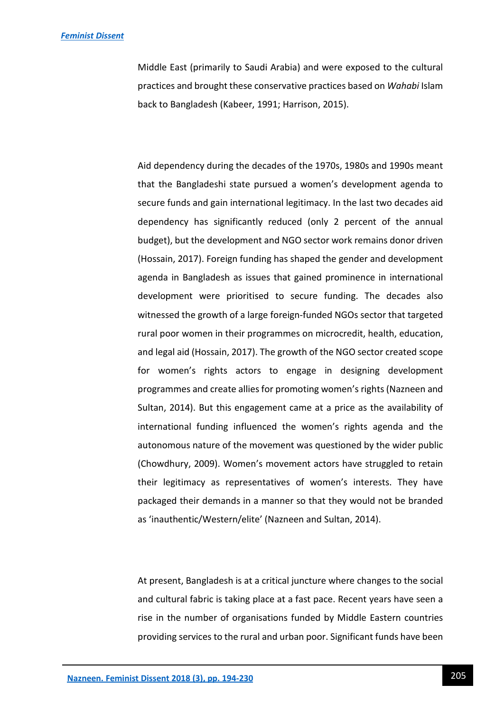Middle East (primarily to Saudi Arabia) and were exposed to the cultural practices and brought these conservative practices based on *Wahabi* Islam back to Bangladesh (Kabeer, 1991; Harrison, 2015).

Aid dependency during the decades of the 1970s, 1980s and 1990s meant that the Bangladeshi state pursued a women's development agenda to secure funds and gain international legitimacy. In the last two decades aid dependency has significantly reduced (only 2 percent of the annual budget), but the development and NGO sector work remains donor driven (Hossain, 2017). Foreign funding has shaped the gender and development agenda in Bangladesh as issues that gained prominence in international development were prioritised to secure funding. The decades also witnessed the growth of a large foreign-funded NGOs sector that targeted rural poor women in their programmes on microcredit, health, education, and legal aid (Hossain, 2017). The growth of the NGO sector created scope for women's rights actors to engage in designing development programmes and create allies for promoting women's rights (Nazneen and Sultan, 2014). But this engagement came at a price as the availability of international funding influenced the women's rights agenda and the autonomous nature of the movement was questioned by the wider public (Chowdhury, 2009). Women's movement actors have struggled to retain their legitimacy as representatives of women's interests. They have packaged their demands in a manner so that they would not be branded as 'inauthentic/Western/elite' (Nazneen and Sultan, 2014).

At present, Bangladesh is at a critical juncture where changes to the social and cultural fabric is taking place at a fast pace. Recent years have seen a rise in the number of organisations funded by Middle Eastern countries providing services to the rural and urban poor. Significant funds have been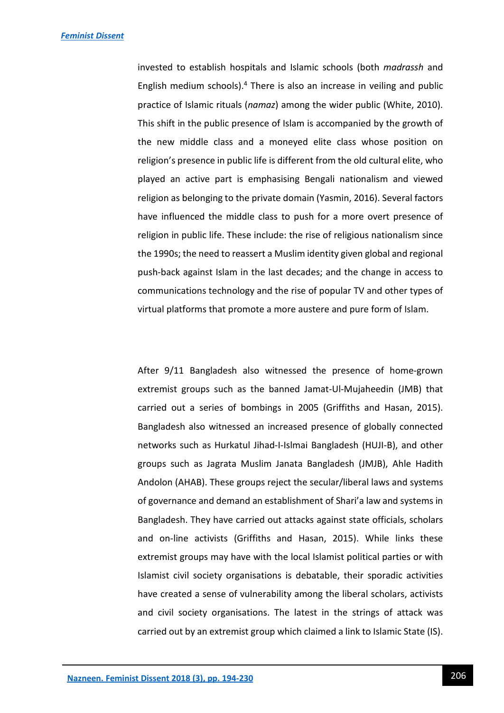invested to establish hospitals and Islamic schools (both *madrassh* and English medium schools). $4$  There is also an increase in veiling and public practice of Islamic rituals (*namaz*) among the wider public (White, 2010). This shift in the public presence of Islam is accompanied by the growth of the new middle class and a moneyed elite class whose position on religion's presence in public life is different from the old cultural elite, who played an active part is emphasising Bengali nationalism and viewed religion as belonging to the private domain (Yasmin, 2016). Several factors have influenced the middle class to push for a more overt presence of religion in public life. These include: the rise of religious nationalism since the 1990s; the need to reassert a Muslim identity given global and regional push-back against Islam in the last decades; and the change in access to communications technology and the rise of popular TV and other types of virtual platforms that promote a more austere and pure form of Islam.

After 9/11 Bangladesh also witnessed the presence of home-grown extremist groups such as the banned Jamat-Ul-Mujaheedin (JMB) that carried out a series of bombings in 2005 (Griffiths and Hasan, 2015). Bangladesh also witnessed an increased presence of globally connected networks such as Hurkatul Jihad-I-Islmai Bangladesh (HUJI-B), and other groups such as Jagrata Muslim Janata Bangladesh (JMJB), Ahle Hadith Andolon (AHAB). These groups reject the secular/liberal laws and systems of governance and demand an establishment of Shari'a law and systems in Bangladesh. They have carried out attacks against state officials, scholars and on-line activists (Griffiths and Hasan, 2015). While links these extremist groups may have with the local Islamist political parties or with Islamist civil society organisations is debatable, their sporadic activities have created a sense of vulnerability among the liberal scholars, activists and civil society organisations. The latest in the strings of attack was carried out by an extremist group which claimed a link to Islamic State (IS).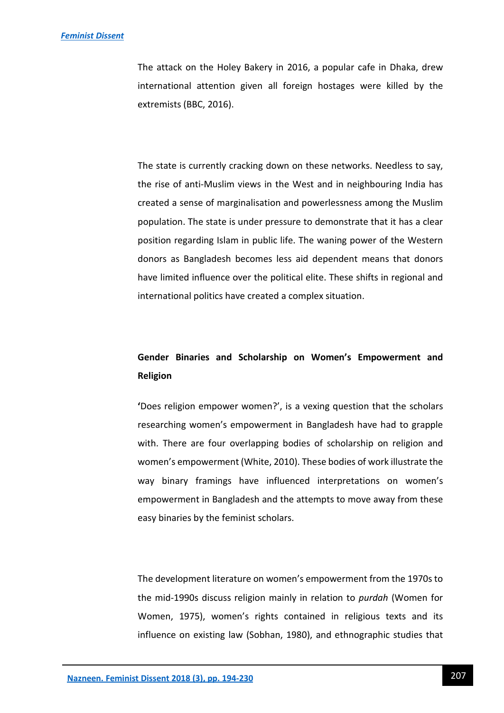The attack on the Holey Bakery in 2016, a popular cafe in Dhaka, drew international attention given all foreign hostages were killed by the extremists (BBC, 2016).

The state is currently cracking down on these networks. Needless to say, the rise of anti-Muslim views in the West and in neighbouring India has created a sense of marginalisation and powerlessness among the Muslim population. The state is under pressure to demonstrate that it has a clear position regarding Islam in public life. The waning power of the Western donors as Bangladesh becomes less aid dependent means that donors have limited influence over the political elite. These shifts in regional and international politics have created a complex situation.

# **Gender Binaries and Scholarship on Women's Empowerment and Religion**

**'**Does religion empower women?', is a vexing question that the scholars researching women's empowerment in Bangladesh have had to grapple with. There are four overlapping bodies of scholarship on religion and women's empowerment (White, 2010). These bodies of work illustrate the way binary framings have influenced interpretations on women's empowerment in Bangladesh and the attempts to move away from these easy binaries by the feminist scholars.

The development literature on women's empowerment from the 1970s to the mid-1990s discuss religion mainly in relation to *purdah* (Women for Women, 1975), women's rights contained in religious texts and its influence on existing law (Sobhan, 1980), and ethnographic studies that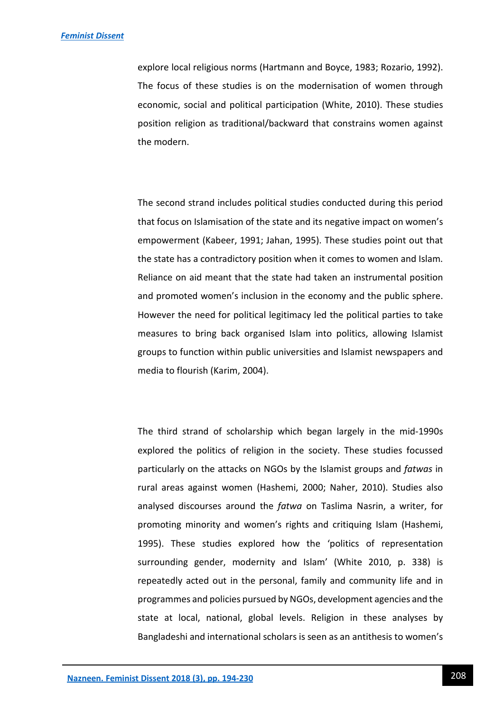explore local religious norms (Hartmann and Boyce, 1983; Rozario, 1992). The focus of these studies is on the modernisation of women through economic, social and political participation (White, 2010). These studies position religion as traditional/backward that constrains women against the modern.

The second strand includes political studies conducted during this period that focus on Islamisation of the state and its negative impact on women's empowerment (Kabeer, 1991; Jahan, 1995). These studies point out that the state has a contradictory position when it comes to women and Islam. Reliance on aid meant that the state had taken an instrumental position and promoted women's inclusion in the economy and the public sphere. However the need for political legitimacy led the political parties to take measures to bring back organised Islam into politics, allowing Islamist groups to function within public universities and Islamist newspapers and media to flourish (Karim, 2004).

The third strand of scholarship which began largely in the mid-1990s explored the politics of religion in the society. These studies focussed particularly on the attacks on NGOs by the Islamist groups and *fatwas* in rural areas against women (Hashemi, 2000; Naher, 2010). Studies also analysed discourses around the *fatwa* on Taslima Nasrin, a writer, for promoting minority and women's rights and critiquing Islam (Hashemi, 1995). These studies explored how the 'politics of representation surrounding gender, modernity and Islam' (White 2010, p. 338) is repeatedly acted out in the personal, family and community life and in programmes and policies pursued by NGOs, development agencies and the state at local, national, global levels. Religion in these analyses by Bangladeshi and international scholars is seen as an antithesis to women's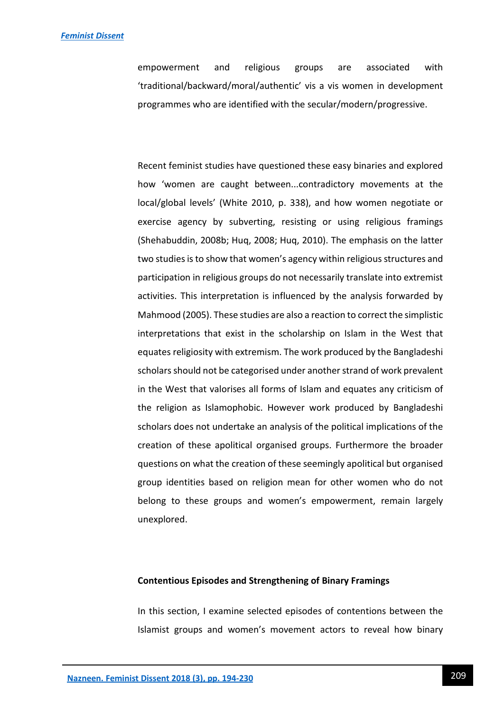empowerment and religious groups are associated with 'traditional/backward/moral/authentic' vis a vis women in development programmes who are identified with the secular/modern/progressive.

Recent feminist studies have questioned these easy binaries and explored how 'women are caught between...contradictory movements at the local/global levels' (White 2010, p. 338), and how women negotiate or exercise agency by subverting, resisting or using religious framings (Shehabuddin, 2008b; Huq, 2008; Huq, 2010). The emphasis on the latter two studies is to show that women's agency within religious structures and participation in religious groups do not necessarily translate into extremist activities. This interpretation is influenced by the analysis forwarded by Mahmood (2005). These studies are also a reaction to correct the simplistic interpretations that exist in the scholarship on Islam in the West that equates religiosity with extremism. The work produced by the Bangladeshi scholars should not be categorised under another strand of work prevalent in the West that valorises all forms of Islam and equates any criticism of the religion as Islamophobic. However work produced by Bangladeshi scholars does not undertake an analysis of the political implications of the creation of these apolitical organised groups. Furthermore the broader questions on what the creation of these seemingly apolitical but organised group identities based on religion mean for other women who do not belong to these groups and women's empowerment, remain largely unexplored.

### **Contentious Episodes and Strengthening of Binary Framings**

In this section, I examine selected episodes of contentions between the Islamist groups and women's movement actors to reveal how binary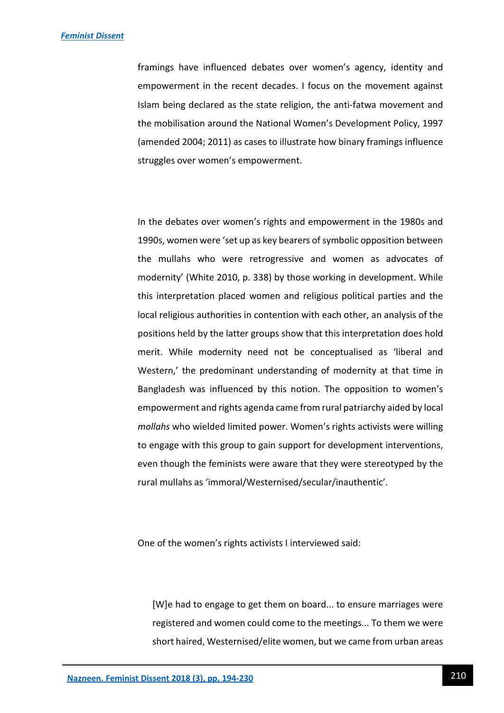framings have influenced debates over women's agency, identity and empowerment in the recent decades. I focus on the movement against Islam being declared as the state religion, the anti-fatwa movement and the mobilisation around the National Women's Development Policy, 1997 (amended 2004; 2011) as cases to illustrate how binary framings influence struggles over women's empowerment.

In the debates over women's rights and empowerment in the 1980s and 1990s, women were 'set up as key bearers of symbolic opposition between the mullahs who were retrogressive and women as advocates of modernity' (White 2010, p. 338) by those working in development. While this interpretation placed women and religious political parties and the local religious authorities in contention with each other, an analysis of the positions held by the latter groups show that this interpretation does hold merit. While modernity need not be conceptualised as 'liberal and Western,' the predominant understanding of modernity at that time in Bangladesh was influenced by this notion. The opposition to women's empowerment and rights agenda came from rural patriarchy aided by local *mollahs* who wielded limited power. Women's rights activists were willing to engage with this group to gain support for development interventions, even though the feminists were aware that they were stereotyped by the rural mullahs as 'immoral/Westernised/secular/inauthentic'.

One of the women's rights activists I interviewed said:

[W]e had to engage to get them on board... to ensure marriages were registered and women could come to the meetings... To them we were short haired, Westernised/elite women, but we came from urban areas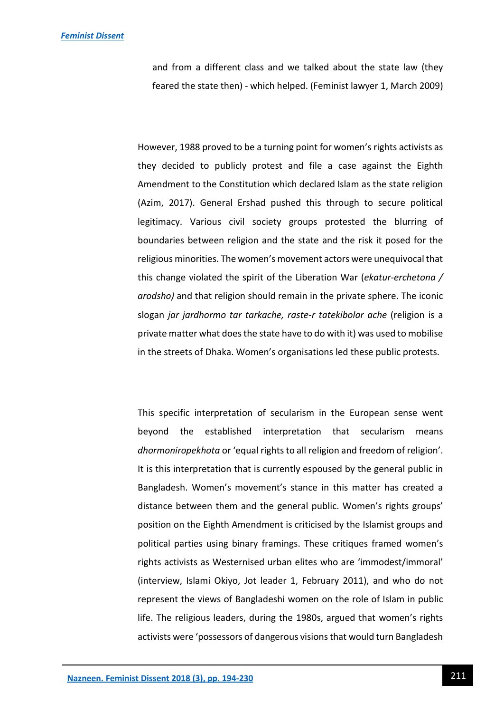#### *[Feminist Dissent](https://journals.warwick.ac.uk/index.php/feministdissent/index)*

and from a different class and we talked about the state law (they feared the state then) - which helped. (Feminist lawyer 1, March 2009)

However, 1988 proved to be a turning point for women's rights activists as they decided to publicly protest and file a case against the Eighth Amendment to the Constitution which declared Islam as the state religion (Azim, 2017). General Ershad pushed this through to secure political legitimacy. Various civil society groups protested the blurring of boundaries between religion and the state and the risk it posed for the religious minorities. The women's movement actors were unequivocal that this change violated the spirit of the Liberation War (*ekatur-erchetona / arodsho)* and that religion should remain in the private sphere. The iconic slogan *jar jardhormo tar tarkache, raste-r tatekibolar ache* (religion is a private matter what does the state have to do with it) was used to mobilise in the streets of Dhaka. Women's organisations led these public protests.

This specific interpretation of secularism in the European sense went beyond the established interpretation that secularism means *dhormoniropekhota* or 'equal rights to all religion and freedom of religion'. It is this interpretation that is currently espoused by the general public in Bangladesh. Women's movement's stance in this matter has created a distance between them and the general public. Women's rights groups' position on the Eighth Amendment is criticised by the Islamist groups and political parties using binary framings. These critiques framed women's rights activists as Westernised urban elites who are 'immodest/immoral' (interview, Islami Okiyo, Jot leader 1, February 2011), and who do not represent the views of Bangladeshi women on the role of Islam in public life. The religious leaders, during the 1980s, argued that women's rights activists were 'possessors of dangerous visions that would turn Bangladesh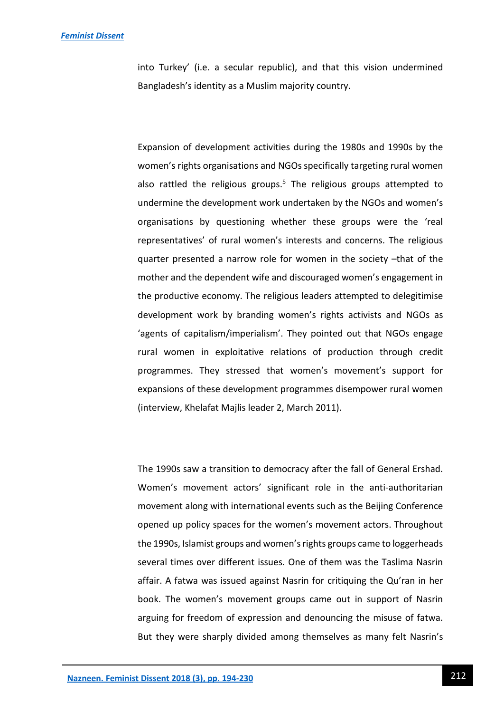#### *[Feminist Dissent](https://journals.warwick.ac.uk/index.php/feministdissent/index)*

into Turkey' (i.e. a secular republic), and that this vision undermined Bangladesh's identity as a Muslim majority country.

Expansion of development activities during the 1980s and 1990s by the women's rights organisations and NGOs specifically targeting rural women also rattled the religious groups.<sup>5</sup> The religious groups attempted to undermine the development work undertaken by the NGOs and women's organisations by questioning whether these groups were the 'real representatives' of rural women's interests and concerns. The religious quarter presented a narrow role for women in the society –that of the mother and the dependent wife and discouraged women's engagement in the productive economy. The religious leaders attempted to delegitimise development work by branding women's rights activists and NGOs as 'agents of capitalism/imperialism'. They pointed out that NGOs engage rural women in exploitative relations of production through credit programmes. They stressed that women's movement's support for expansions of these development programmes disempower rural women (interview, Khelafat Majlis leader 2, March 2011).

The 1990s saw a transition to democracy after the fall of General Ershad. Women's movement actors' significant role in the anti-authoritarian movement along with international events such as the Beijing Conference opened up policy spaces for the women's movement actors. Throughout the 1990s, Islamist groups and women's rights groups came to loggerheads several times over different issues. One of them was the Taslima Nasrin affair. A fatwa was issued against Nasrin for critiquing the Qu'ran in her book. The women's movement groups came out in support of Nasrin arguing for freedom of expression and denouncing the misuse of fatwa. But they were sharply divided among themselves as many felt Nasrin's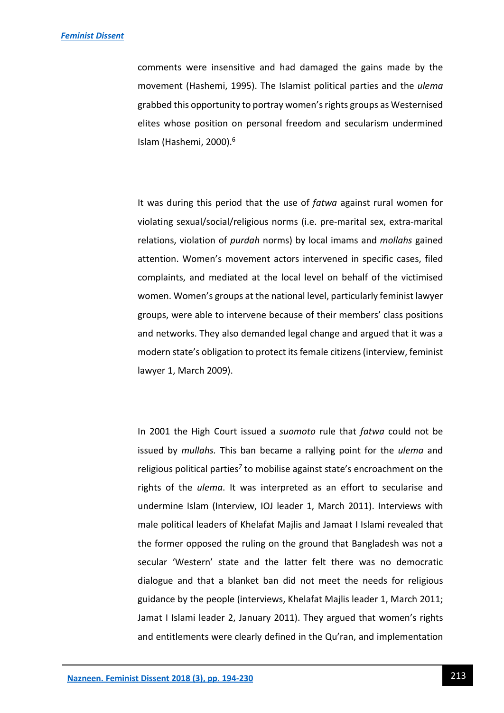comments were insensitive and had damaged the gains made by the movement (Hashemi, 1995). The Islamist political parties and the *ulema*  grabbed this opportunity to portray women's rights groups as Westernised elites whose position on personal freedom and secularism undermined Islam (Hashemi, 2000).<sup>6</sup>

It was during this period that the use of *fatwa* against rural women for violating sexual/social/religious norms (i.e. pre-marital sex, extra-marital relations, violation of *purdah* norms) by local imams and *mollahs* gained attention. Women's movement actors intervened in specific cases, filed complaints, and mediated at the local level on behalf of the victimised women. Women's groups at the national level, particularly feminist lawyer groups, were able to intervene because of their members' class positions and networks. They also demanded legal change and argued that it was a modern state's obligation to protect its female citizens (interview, feminist lawyer 1, March 2009).

In 2001 the High Court issued a *suomoto* rule that *fatwa* could not be issued by *mullahs.* This ban became a rallying point for the *ulema* and religious political parties<sup>7</sup> to mobilise against state's encroachment on the rights of the *ulema*. It was interpreted as an effort to secularise and undermine Islam (Interview, IOJ leader 1, March 2011). Interviews with male political leaders of Khelafat Majlis and Jamaat I Islami revealed that the former opposed the ruling on the ground that Bangladesh was not a secular 'Western' state and the latter felt there was no democratic dialogue and that a blanket ban did not meet the needs for religious guidance by the people (interviews, Khelafat Majlis leader 1, March 2011; Jamat I Islami leader 2, January 2011). They argued that women's rights and entitlements were clearly defined in the Qu'ran, and implementation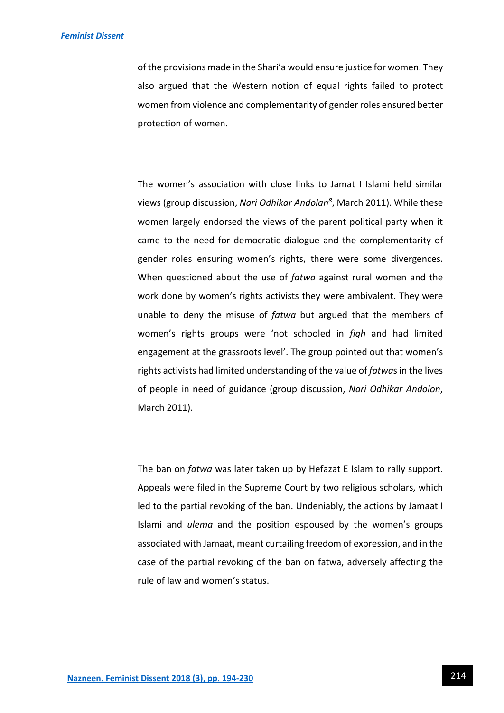of the provisions made in the Shari'a would ensure justice for women. They also argued that the Western notion of equal rights failed to protect women from violence and complementarity of gender roles ensured better protection of women.

The women's association with close links to Jamat I Islami held similar views (group discussion, *Nari Odhikar Andolan<sup>8</sup>* , March 2011). While these women largely endorsed the views of the parent political party when it came to the need for democratic dialogue and the complementarity of gender roles ensuring women's rights, there were some divergences. When questioned about the use of *fatwa* against rural women and the work done by women's rights activists they were ambivalent. They were unable to deny the misuse of *fatwa* but argued that the members of women's rights groups were 'not schooled in *fiqh* and had limited engagement at the grassroots level'. The group pointed out that women's rights activists had limited understanding of the value of *fatwa*s in the lives of people in need of guidance (group discussion, *Nari Odhikar Andolon*, March 2011).

The ban on *fatwa* was later taken up by Hefazat E Islam to rally support. Appeals were filed in the Supreme Court by two religious scholars, which led to the partial revoking of the ban. Undeniably, the actions by Jamaat I Islami and *ulema* and the position espoused by the women's groups associated with Jamaat, meant curtailing freedom of expression, and in the case of the partial revoking of the ban on fatwa, adversely affecting the rule of law and women's status.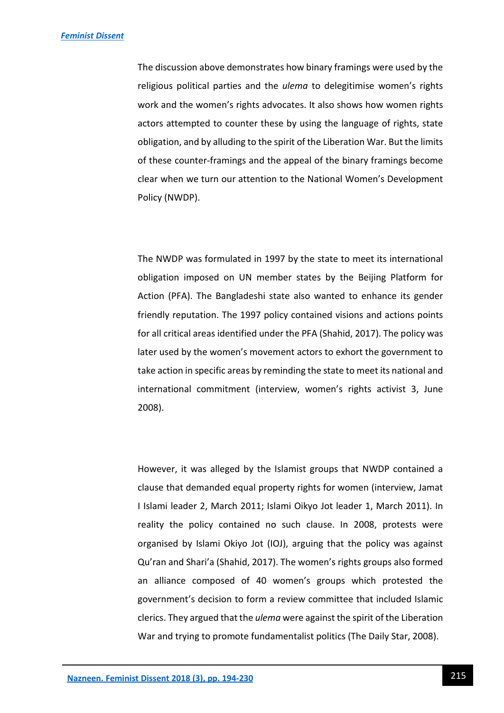The discussion above demonstrates how binary framings were used by the religious political parties and the *ulema* to delegitimise women's rights work and the women's rights advocates. It also shows how women rights actors attempted to counter these by using the language of rights, state obligation, and by alluding to the spirit of the Liberation War. But the limits of these counter-framings and the appeal of the binary framings become clear when we turn our attention to the National Women's Development Policy (NWDP).

The NWDP was formulated in 1997 by the state to meet its international obligation imposed on UN member states by the Beijing Platform for Action (PFA). The Bangladeshi state also wanted to enhance its gender friendly reputation. The 1997 policy contained visions and actions points for all critical areas identified under the PFA (Shahid, 2017). The policy was later used by the women's movement actors to exhort the government to take action in specific areas by reminding the state to meet its national and international commitment (interview, women's rights activist 3, June 2008).

However, it was alleged by the Islamist groups that NWDP contained a clause that demanded equal property rights for women (interview, Jamat I Islami leader 2, March 2011; Islami Oikyo Jot leader 1, March 2011). In reality the policy contained no such clause. In 2008, protests were organised by Islami Okiyo Jot (IOJ), arguing that the policy was against Qu'ran and Shari'a (Shahid, 2017). The women's rights groups also formed an alliance composed of 40 women's groups which protested the government's decision to form a review committee that included Islamic clerics. They argued that the *ulema* were against the spirit of the Liberation War and trying to promote fundamentalist politics (The Daily Star, 2008).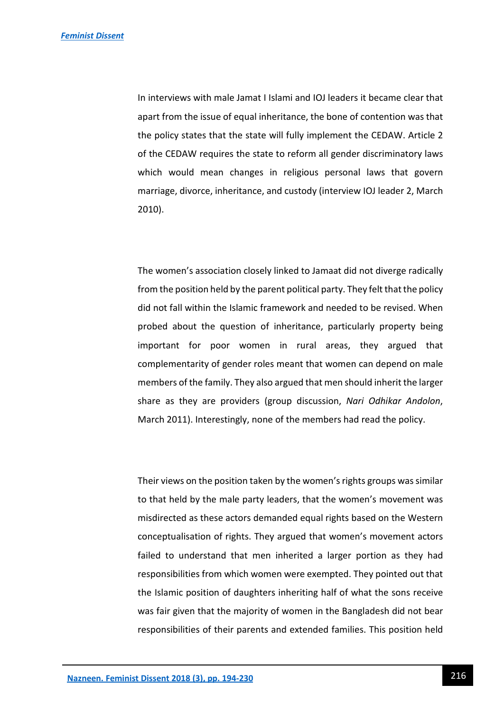In interviews with male Jamat I Islami and IOJ leaders it became clear that apart from the issue of equal inheritance, the bone of contention was that the policy states that the state will fully implement the CEDAW. Article 2 of the CEDAW requires the state to reform all gender discriminatory laws which would mean changes in religious personal laws that govern marriage, divorce, inheritance, and custody (interview IOJ leader 2, March 2010).

The women's association closely linked to Jamaat did not diverge radically from the position held by the parent political party. They felt that the policy did not fall within the Islamic framework and needed to be revised. When probed about the question of inheritance, particularly property being important for poor women in rural areas, they argued that complementarity of gender roles meant that women can depend on male members of the family. They also argued that men should inherit the larger share as they are providers (group discussion, *Nari Odhikar Andolon*, March 2011). Interestingly, none of the members had read the policy.

Their views on the position taken by the women's rights groups was similar to that held by the male party leaders, that the women's movement was misdirected as these actors demanded equal rights based on the Western conceptualisation of rights. They argued that women's movement actors failed to understand that men inherited a larger portion as they had responsibilities from which women were exempted. They pointed out that the Islamic position of daughters inheriting half of what the sons receive was fair given that the majority of women in the Bangladesh did not bear responsibilities of their parents and extended families. This position held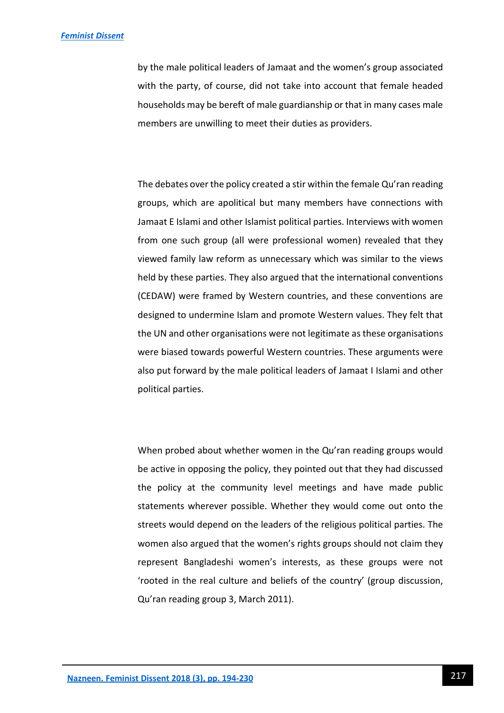by the male political leaders of Jamaat and the women's group associated with the party, of course, did not take into account that female headed households may be bereft of male guardianship or that in many cases male members are unwilling to meet their duties as providers.

The debates over the policy created a stir within the female Qu'ran reading groups, which are apolitical but many members have connections with Jamaat E Islami and other Islamist political parties. Interviews with women from one such group (all were professional women) revealed that they viewed family law reform as unnecessary which was similar to the views held by these parties. They also argued that the international conventions (CEDAW) were framed by Western countries, and these conventions are designed to undermine Islam and promote Western values. They felt that the UN and other organisations were not legitimate as these organisations were biased towards powerful Western countries. These arguments were also put forward by the male political leaders of Jamaat I Islami and other political parties.

When probed about whether women in the Qu'ran reading groups would be active in opposing the policy, they pointed out that they had discussed the policy at the community level meetings and have made public statements wherever possible. Whether they would come out onto the streets would depend on the leaders of the religious political parties. The women also argued that the women's rights groups should not claim they represent Bangladeshi women's interests, as these groups were not 'rooted in the real culture and beliefs of the country' (group discussion, Qu'ran reading group 3, March 2011).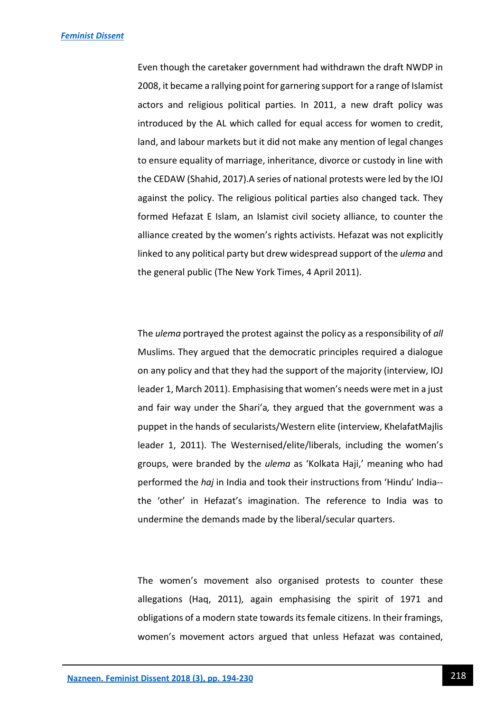Even though the caretaker government had withdrawn the draft NWDP in 2008, it became a rallying point for garnering support for a range of Islamist actors and religious political parties. In 2011, a new draft policy was introduced by the AL which called for equal access for women to credit, land, and labour markets but it did not make any mention of legal changes to ensure equality of marriage, inheritance, divorce or custody in line with the CEDAW (Shahid, 2017).A series of national protests were led by the IOJ against the policy. The religious political parties also changed tack. They formed Hefazat E Islam, an Islamist civil society alliance, to counter the alliance created by the women's rights activists. Hefazat was not explicitly linked to any political party but drew widespread support of the *ulema* and the general public (The New York Times, 4 April 2011).

The *ulema* portrayed the protest against the policy as a responsibility of *all* Muslims. They argued that the democratic principles required a dialogue on any policy and that they had the support of the majority (interview, IOJ leader 1, March 2011). Emphasising that women's needs were met in a just and fair way under the Shari'a*,* they argued that the government was a puppet in the hands of secularists/Western elite (interview, KhelafatMajlis leader 1, 2011). The Westernised/elite/liberals, including the women's groups, were branded by the *ulema* as 'Kolkata Haji,' meaning who had performed the *haj* in India and took their instructions from 'Hindu' India- the 'other' in Hefazat's imagination. The reference to India was to undermine the demands made by the liberal/secular quarters.

The women's movement also organised protests to counter these allegations (Haq, 2011), again emphasising the spirit of 1971 and obligations of a modern state towards its female citizens. In their framings, women's movement actors argued that unless Hefazat was contained,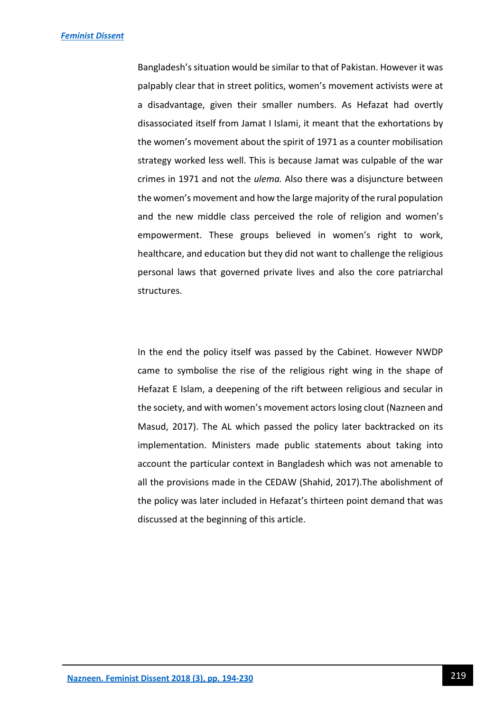Bangladesh's situation would be similar to that of Pakistan. However it was palpably clear that in street politics, women's movement activists were at a disadvantage, given their smaller numbers. As Hefazat had overtly disassociated itself from Jamat I Islami, it meant that the exhortations by the women's movement about the spirit of 1971 as a counter mobilisation strategy worked less well. This is because Jamat was culpable of the war crimes in 1971 and not the *ulema.* Also there was a disjuncture between the women's movement and how the large majority of the rural population and the new middle class perceived the role of religion and women's empowerment. These groups believed in women's right to work, healthcare, and education but they did not want to challenge the religious personal laws that governed private lives and also the core patriarchal structures.

In the end the policy itself was passed by the Cabinet. However NWDP came to symbolise the rise of the religious right wing in the shape of Hefazat E Islam, a deepening of the rift between religious and secular in the society, and with women's movement actors losing clout (Nazneen and Masud, 2017). The AL which passed the policy later backtracked on its implementation. Ministers made public statements about taking into account the particular context in Bangladesh which was not amenable to all the provisions made in the CEDAW (Shahid, 2017).The abolishment of the policy was later included in Hefazat's thirteen point demand that was discussed at the beginning of this article.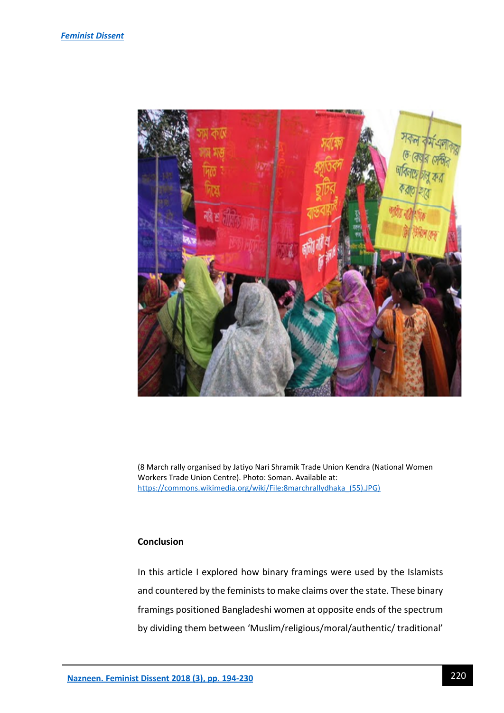

(8 March rally organised by Jatiyo Nari Shramik Trade Union Kendra (National Women Workers Trade Union Centre). Photo: Soman. Available at: [https://commons.wikimedia.org/wiki/File:8marchrallydhaka\\_\(55\).JPG\)](https://commons.wikimedia.org/wiki/File:8marchrallydhaka_(55).JPG)

# **Conclusion**

In this article I explored how binary framings were used by the Islamists and countered by the feminists to make claims over the state. These binary framings positioned Bangladeshi women at opposite ends of the spectrum by dividing them between 'Muslim/religious/moral/authentic/ traditional'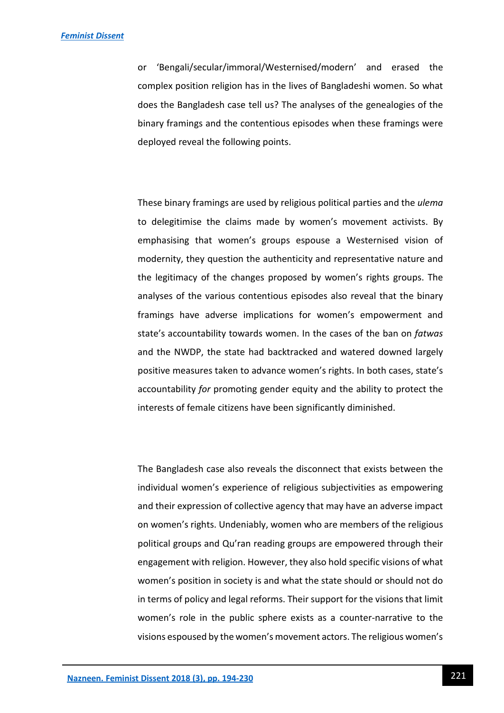or 'Bengali/secular/immoral/Westernised/modern' and erased the complex position religion has in the lives of Bangladeshi women. So what does the Bangladesh case tell us? The analyses of the genealogies of the binary framings and the contentious episodes when these framings were deployed reveal the following points.

These binary framings are used by religious political parties and the *ulema*  to delegitimise the claims made by women's movement activists. By emphasising that women's groups espouse a Westernised vision of modernity, they question the authenticity and representative nature and the legitimacy of the changes proposed by women's rights groups. The analyses of the various contentious episodes also reveal that the binary framings have adverse implications for women's empowerment and state's accountability towards women. In the cases of the ban on *fatwas* and the NWDP, the state had backtracked and watered downed largely positive measures taken to advance women's rights. In both cases, state's accountability *for* promoting gender equity and the ability to protect the interests of female citizens have been significantly diminished.

The Bangladesh case also reveals the disconnect that exists between the individual women's experience of religious subjectivities as empowering and their expression of collective agency that may have an adverse impact on women's rights. Undeniably, women who are members of the religious political groups and Qu'ran reading groups are empowered through their engagement with religion. However, they also hold specific visions of what women's position in society is and what the state should or should not do in terms of policy and legal reforms. Their support for the visions that limit women's role in the public sphere exists as a counter-narrative to the visions espoused by the women's movement actors. The religious women's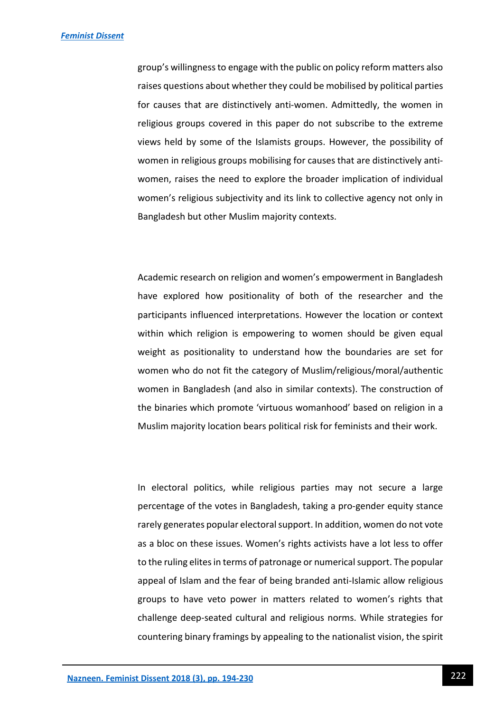group's willingness to engage with the public on policy reform matters also raises questions about whether they could be mobilised by political parties for causes that are distinctively anti-women. Admittedly, the women in religious groups covered in this paper do not subscribe to the extreme views held by some of the Islamists groups. However, the possibility of women in religious groups mobilising for causes that are distinctively antiwomen, raises the need to explore the broader implication of individual women's religious subjectivity and its link to collective agency not only in Bangladesh but other Muslim majority contexts.

Academic research on religion and women's empowerment in Bangladesh have explored how positionality of both of the researcher and the participants influenced interpretations. However the location or context within which religion is empowering to women should be given equal weight as positionality to understand how the boundaries are set for women who do not fit the category of Muslim/religious/moral/authentic women in Bangladesh (and also in similar contexts). The construction of the binaries which promote 'virtuous womanhood' based on religion in a Muslim majority location bears political risk for feminists and their work.

In electoral politics, while religious parties may not secure a large percentage of the votes in Bangladesh, taking a pro-gender equity stance rarely generates popular electoral support. In addition, women do not vote as a bloc on these issues. Women's rights activists have a lot less to offer to the ruling elites in terms of patronage or numerical support. The popular appeal of Islam and the fear of being branded anti-Islamic allow religious groups to have veto power in matters related to women's rights that challenge deep-seated cultural and religious norms. While strategies for countering binary framings by appealing to the nationalist vision, the spirit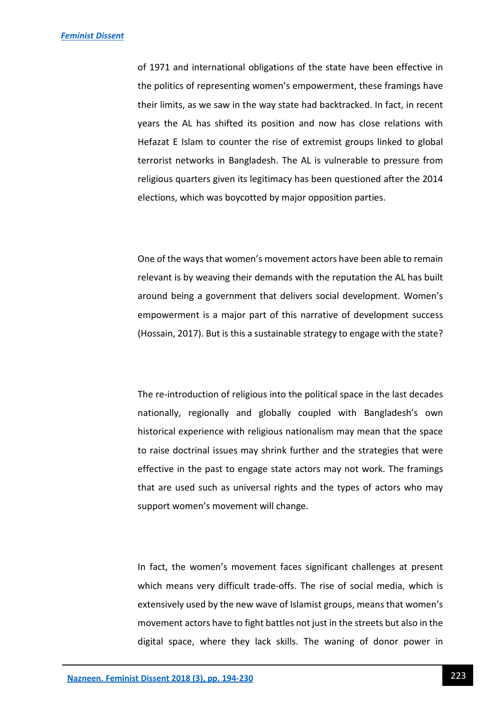of 1971 and international obligations of the state have been effective in the politics of representing women's empowerment, these framings have their limits, as we saw in the way state had backtracked. In fact, in recent years the AL has shifted its position and now has close relations with Hefazat E Islam to counter the rise of extremist groups linked to global terrorist networks in Bangladesh. The AL is vulnerable to pressure from religious quarters given its legitimacy has been questioned after the 2014 elections, which was boycotted by major opposition parties.

One of the ways that women's movement actors have been able to remain relevant is by weaving their demands with the reputation the AL has built around being a government that delivers social development. Women's empowerment is a major part of this narrative of development success (Hossain, 2017). But is this a sustainable strategy to engage with the state?

The re-introduction of religious into the political space in the last decades nationally, regionally and globally coupled with Bangladesh's own historical experience with religious nationalism may mean that the space to raise doctrinal issues may shrink further and the strategies that were effective in the past to engage state actors may not work. The framings that are used such as universal rights and the types of actors who may support women's movement will change.

In fact, the women's movement faces significant challenges at present which means very difficult trade-offs. The rise of social media, which is extensively used by the new wave of Islamist groups, means that women's movement actors have to fight battles not just in the streets but also in the digital space, where they lack skills. The waning of donor power in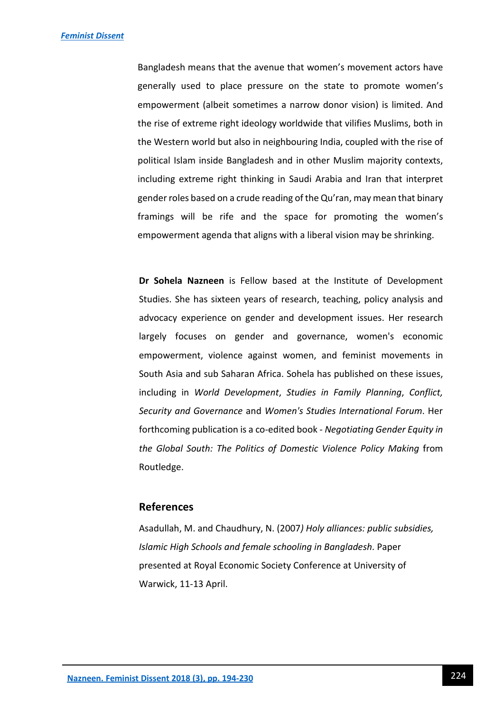Bangladesh means that the avenue that women's movement actors have generally used to place pressure on the state to promote women's empowerment (albeit sometimes a narrow donor vision) is limited. And the rise of extreme right ideology worldwide that vilifies Muslims, both in the Western world but also in neighbouring India, coupled with the rise of political Islam inside Bangladesh and in other Muslim majority contexts, including extreme right thinking in Saudi Arabia and Iran that interpret gender roles based on a crude reading of the Qu'ran, may mean that binary framings will be rife and the space for promoting the women's empowerment agenda that aligns with a liberal vision may be shrinking.

**Dr Sohela Nazneen** is Fellow based at the Institute of Development Studies. She has sixteen years of research, teaching, policy analysis and advocacy experience on gender and development issues. Her research largely focuses on gender and governance, women's economic empowerment, violence against women, and feminist movements in South Asia and sub Saharan Africa. Sohela has published on these issues, including in *World Development*, *Studies in Family Planning*, *Conflict, Security and Governance* and *Women's Studies International Forum*. Her forthcoming publication is a co-edited book - *Negotiating Gender Equity in the Global South: The Politics of Domestic Violence Policy Making* from Routledge.

### **References**

Asadullah, M. and Chaudhury, N. (2007*) Holy alliances: public subsidies, Islamic High Schools and female schooling in Bangladesh*. Paper presented at Royal Economic Society Conference at University of Warwick, 11-13 April.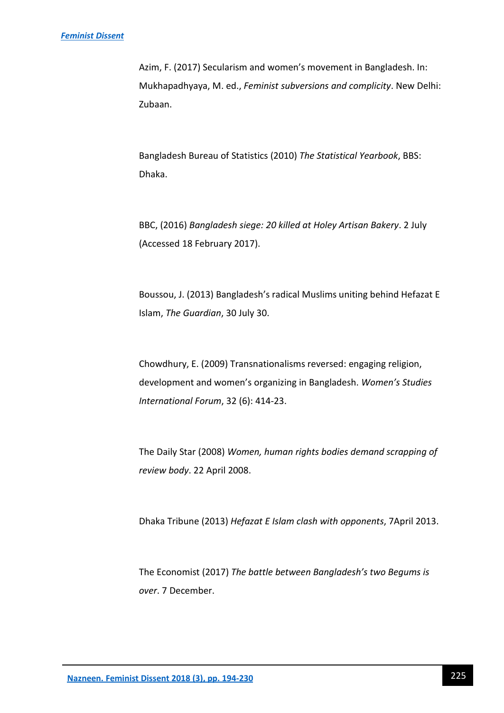Azim, F. (2017) Secularism and women's movement in Bangladesh. In: Mukhapadhyaya, M. ed., *Feminist subversions and complicity*. New Delhi: Zubaan.

Bangladesh Bureau of Statistics (2010) *The Statistical Yearbook*, BBS: Dhaka.

BBC, (2016) *Bangladesh siege: 20 killed at Holey Artisan Bakery*. 2 July (Accessed 18 February 2017).

Boussou, J. (2013) Bangladesh's radical Muslims uniting behind Hefazat E Islam, *The Guardian*, 30 July 30.

Chowdhury, E. (2009) Transnationalisms reversed: engaging religion, development and women's organizing in Bangladesh. *Women's Studies International Forum*, 32 (6): 414-23.

The Daily Star (2008) *Women, human rights bodies demand scrapping of review body*. 22 April 2008.

Dhaka Tribune (2013) *Hefazat E Islam clash with opponents*, 7April 2013.

The Economist (2017) *The battle between Bangladesh's two Begums is over*. 7 December.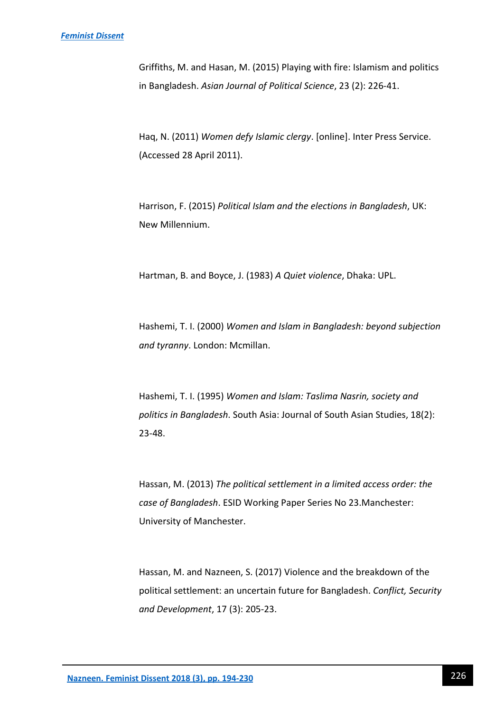#### *[Feminist Dissent](https://journals.warwick.ac.uk/index.php/feministdissent/index)*

Griffiths, M. and Hasan, M. (2015) Playing with fire: Islamism and politics in Bangladesh. *Asian Journal of Political Science*, 23 (2): 226-41.

Haq, N. (2011) *Women defy Islamic clergy*. [online]. Inter Press Service. (Accessed 28 April 2011).

Harrison, F. (2015) *Political Islam and the elections in Bangladesh*, UK: New Millennium.

Hartman, B. and Boyce, J. (1983) *A Quiet violence*, Dhaka: UPL.

Hashemi, T. I. (2000) *Women and Islam in Bangladesh: beyond subjection and tyranny*. London: Mcmillan.

Hashemi, T. I. (1995) *Women and Islam: Taslima Nasrin, society and politics in Bangladesh*. South Asia: Journal of South Asian Studies, 18(2): 23-48.

Hassan, M. (2013) *The political settlement in a limited access order: the case of Bangladesh*. ESID Working Paper Series No 23.Manchester: University of Manchester.

Hassan, M. and Nazneen, S. (2017) Violence and the breakdown of the political settlement: an uncertain future for Bangladesh. *Conflict, Security and Development*, 17 (3): 205-23.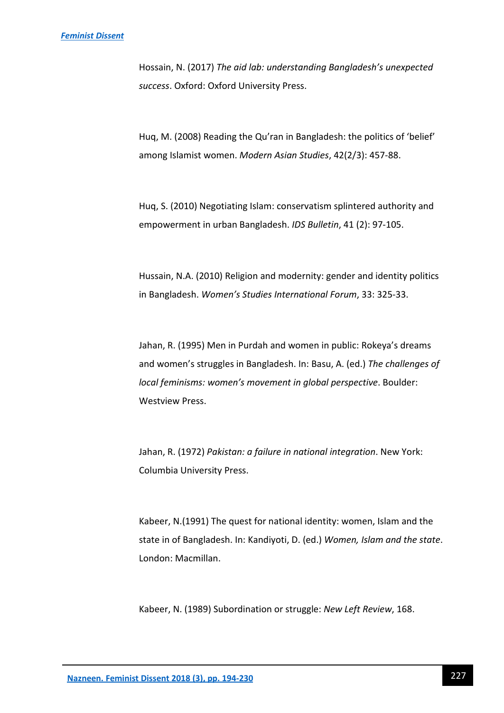Hossain, N. (2017) *The aid lab: understanding Bangladesh's unexpected success*. Oxford: Oxford University Press.

Huq, M. (2008) Reading the Qu'ran in Bangladesh: the politics of 'belief' among Islamist women. *Modern Asian Studies*, 42(2/3): 457-88.

Huq, S. (2010) Negotiating Islam: conservatism splintered authority and empowerment in urban Bangladesh. *IDS Bulletin*, 41 (2): 97-105.

Hussain, N.A. (2010) Religion and modernity: gender and identity politics in Bangladesh. *Women's Studies International Forum*, 33: 325-33.

Jahan, R. (1995) Men in Purdah and women in public: Rokeya's dreams and women's struggles in Bangladesh. In: Basu, A. (ed.) *The challenges of local feminisms: women's movement in global perspective*. Boulder: Westview Press.

Jahan, R. (1972) *Pakistan: a failure in national integration*. New York: Columbia University Press.

Kabeer, N.(1991) The quest for national identity: women, Islam and the state in of Bangladesh. In: Kandiyoti, D. (ed.) *Women, Islam and the state*. London: Macmillan.

Kabeer, N. (1989) Subordination or struggle: *New Left Review*, 168.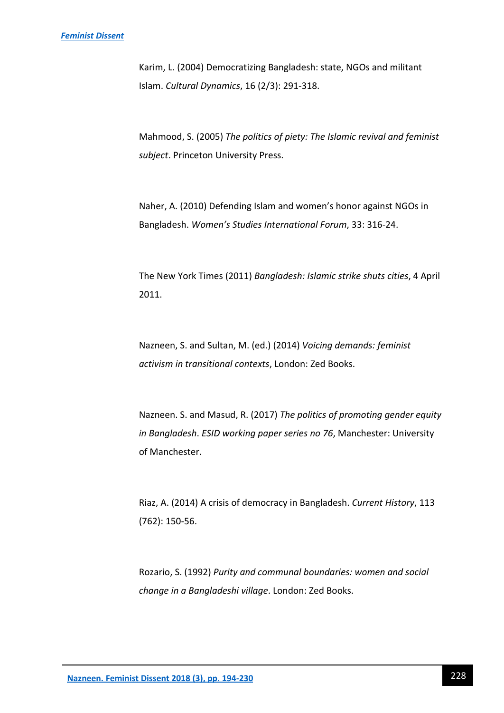Karim, L. (2004) Democratizing Bangladesh: state, NGOs and militant Islam. *Cultural Dynamics*, 16 (2/3): 291-318.

Mahmood, S. (2005) *The politics of piety: The Islamic revival and feminist subject*. Princeton University Press.

Naher, A. (2010) Defending Islam and women's honor against NGOs in Bangladesh. *Women's Studies International Forum*, 33: 316-24.

The New York Times (2011) *Bangladesh: Islamic strike shuts cities*, 4 April 2011.

Nazneen, S. and Sultan, M. (ed.) (2014) *Voicing demands: feminist activism in transitional contexts*, London: Zed Books.

Nazneen. S. and Masud, R. (2017) *The politics of promoting gender equity in Bangladesh*. *ESID working paper series no 76*, Manchester: University of Manchester.

Riaz, A. (2014) A crisis of democracy in Bangladesh. *Current History*, 113 (762): 150-56.

Rozario, S. (1992) *Purity and communal boundaries: women and social change in a Bangladeshi village*. London: Zed Books.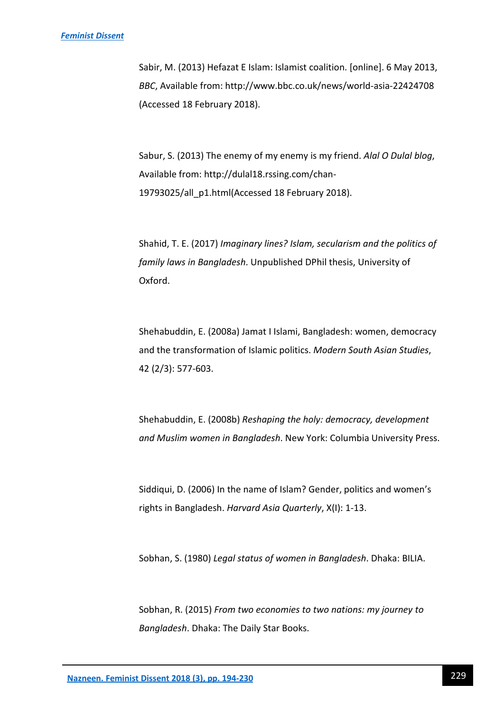Sabir, M. (2013) Hefazat E Islam: Islamist coalition. [online]. 6 May 2013, *BBC*, Available from: http://www.bbc.co.uk/news/world-asia-22424708 (Accessed 18 February 2018).

Sabur, S. (2013) The enemy of my enemy is my friend. *Alal O Dulal blog*, Available from: http://dulal18.rssing.com/chan-19793025/all\_p1.html(Accessed 18 February 2018).

Shahid, T. E. (2017) *Imaginary lines? Islam, secularism and the politics of family laws in Bangladesh*. Unpublished DPhil thesis, University of Oxford.

Shehabuddin, E. (2008a) Jamat I Islami, Bangladesh: women, democracy and the transformation of Islamic politics. *Modern South Asian Studies*, 42 (2/3): 577-603.

Shehabuddin, E. (2008b) *Reshaping the holy: democracy, development and Muslim women in Bangladesh*. New York: Columbia University Press.

Siddiqui, D. (2006) In the name of Islam? Gender, politics and women's rights in Bangladesh. *Harvard Asia Quarterly*, X(I): 1-13.

Sobhan, S. (1980) *Legal status of women in Bangladesh*. Dhaka: BILIA.

Sobhan, R. (2015) *From two economies to two nations: my journey to Bangladesh*. Dhaka: The Daily Star Books.